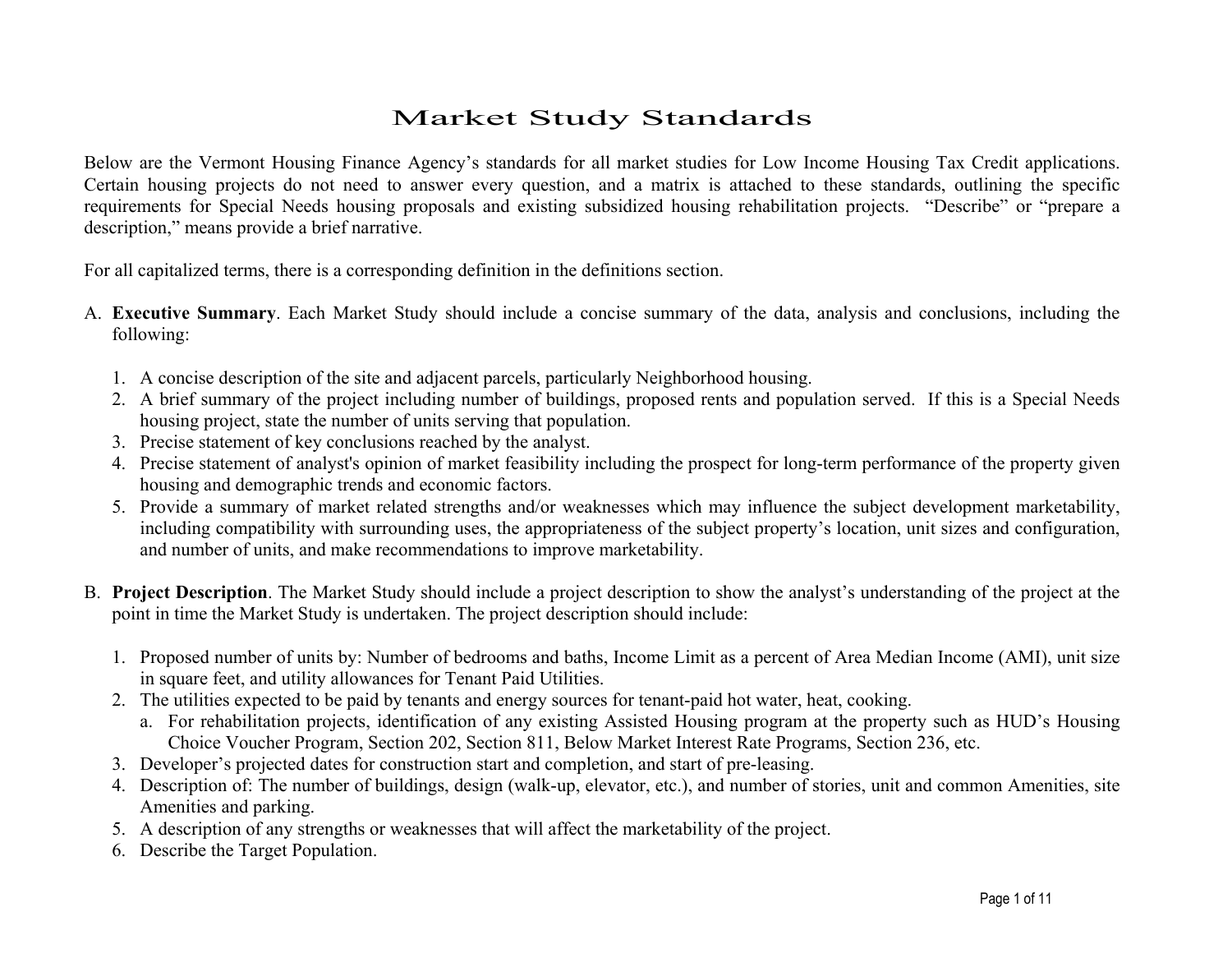# Market Study Standards

Below are the Vermont Housing Finance Agency's standards for all market studies for Low Income Housing Tax Credit applications. Certain housing projects do not need to answer every question, and a matrix is attached to these standards, outlining the specific requirements for Special Needs housing proposals and existing subsidized housing rehabilitation projects. "Describe" or "prepare a description," means provide a brief narrative.

For all capitalized terms, there is a corresponding definition in the definitions section.

- A. **Executive Summary**. Each Market Study should include a concise summary of the data, analysis and conclusions, including the following:
	- 1. A concise description of the site and adjacent parcels, particularly Neighborhood housing.
	- 2. A brief summary of the project including number of buildings, proposed rents and population served. If this is a Special Needs housing project, state the number of units serving that population.
	- 3. Precise statement of key conclusions reached by the analyst.
	- 4. Precise statement of analyst's opinion of market feasibility including the prospect for long-term performance of the property given housing and demographic trends and economic factors.
	- 5. Provide a summary of market related strengths and/or weaknesses which may influence the subject development marketability, including compatibility with surrounding uses, the appropriateness of the subject property's location, unit sizes and configuration, and number of units, and make recommendations to improve marketability.
- B. **Project Description**. The Market Study should include a project description to show the analyst's understanding of the project at the point in time the Market Study is undertaken. The project description should include:
	- 1. Proposed number of units by: Number of bedrooms and baths, Income Limit as a percent of Area Median Income (AMI), unit size in square feet, and utility allowances for Tenant Paid Utilities.
	- 2. The utilities expected to be paid by tenants and energy sources for tenant-paid hot water, heat, cooking.
		- a. For rehabilitation projects, identification of any existing Assisted Housing program at the property such as HUD's Housing Choice Voucher Program, Section 202, Section 811, Below Market Interest Rate Programs, Section 236, etc.
	- 3. Developer's projected dates for construction start and completion, and start of pre-leasing.
	- 4. Description of: The number of buildings, design (walk-up, elevator, etc.), and number of stories, unit and common Amenities, site Amenities and parking.
	- 5. A description of any strengths or weaknesses that will affect the marketability of the project.
	- 6. Describe the Target Population.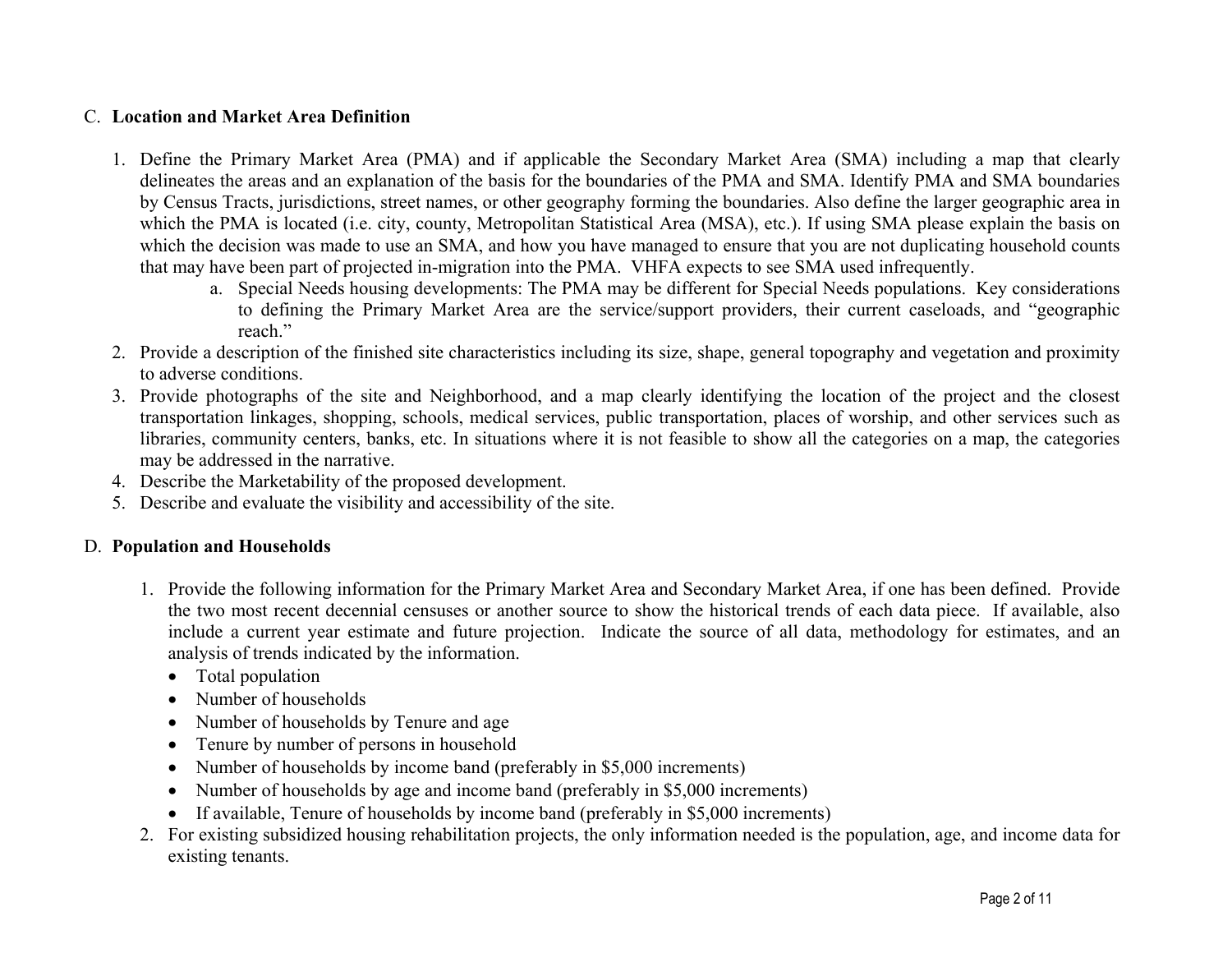#### C. **Location and Market Area Definition**

- 1. Define the Primary Market Area (PMA) and if applicable the Secondary Market Area (SMA) including a map that clearly delineates the areas and an explanation of the basis for the boundaries of the PMA and SMA. Identify PMA and SMA boundaries by Census Tracts, jurisdictions, street names, or other geography forming the boundaries. Also define the larger geographic area in which the PMA is located (i.e. city, county, Metropolitan Statistical Area (MSA), etc.). If using SMA please explain the basis on which the decision was made to use an SMA, and how you have managed to ensure that you are not duplicating household counts that may have been part of projected in-migration into the PMA. VHFA expects to see SMA used infrequently.
	- a. Special Needs housing developments: The PMA may be different for Special Needs populations. Key considerations to defining the Primary Market Area are the service/support providers, their current caseloads, and "geographic reach"
- 2. Provide a description of the finished site characteristics including its size, shape, general topography and vegetation and proximity to adverse conditions.
- 3. Provide photographs of the site and Neighborhood, and a map clearly identifying the location of the project and the closest transportation linkages, shopping, schools, medical services, public transportation, places of worship, and other services such as libraries, community centers, banks, etc. In situations where it is not feasible to show all the categories on a map, the categories may be addressed in the narrative.
- 4. Describe the Marketability of the proposed development.
- 5. Describe and evaluate the visibility and accessibility of the site.

### D. **Population and Households**

- 1. Provide the following information for the Primary Market Area and Secondary Market Area, if one has been defined. Provide the two most recent decennial censuses or another source to show the historical trends of each data piece. If available, also include a current year estimate and future projection. Indicate the source of all data, methodology for estimates, and an analysis of trends indicated by the information.
	- Total population
	- Number of households
	- Number of households by Tenure and age
	- Tenure by number of persons in household
	- Number of households by income band (preferably in \$5,000 increments)
	- Number of households by age and income band (preferably in \$5,000 increments)
	- If available, Tenure of households by income band (preferably in \$5,000 increments)
- 2. For existing subsidized housing rehabilitation projects, the only information needed is the population, age, and income data for existing tenants.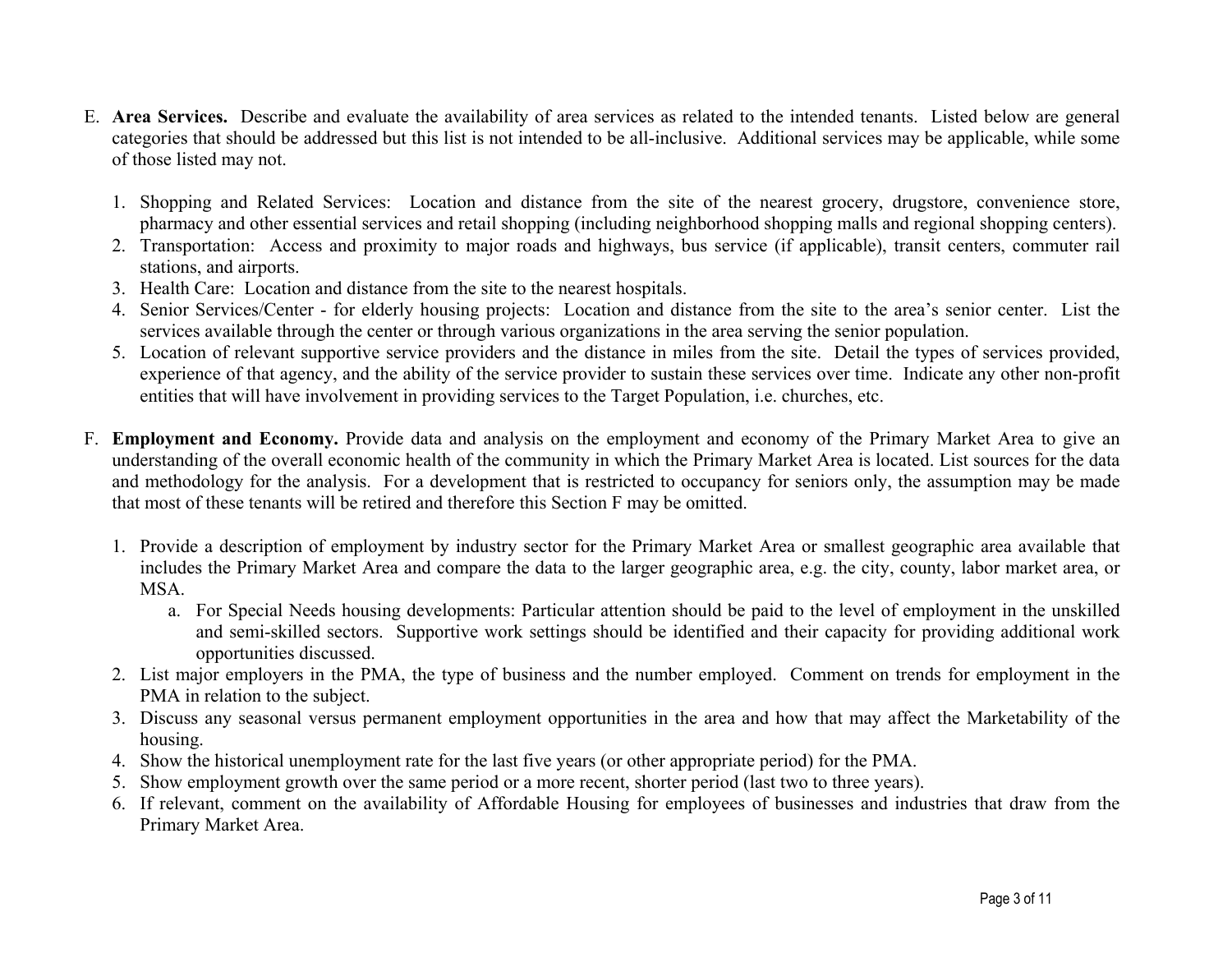- E. **Area Services.** Describe and evaluate the availability of area services as related to the intended tenants. Listed below are general categories that should be addressed but this list is not intended to be all-inclusive. Additional services may be applicable, while some of those listed may not.
	- 1. Shopping and Related Services: Location and distance from the site of the nearest grocery, drugstore, convenience store, pharmacy and other essential services and retail shopping (including neighborhood shopping malls and regional shopping centers).
	- 2. Transportation: Access and proximity to major roads and highways, bus service (if applicable), transit centers, commuter rail stations, and airports.
	- 3. Health Care: Location and distance from the site to the nearest hospitals.
	- 4. Senior Services/Center for elderly housing projects: Location and distance from the site to the area's senior center. List the services available through the center or through various organizations in the area serving the senior population.
	- 5. Location of relevant supportive service providers and the distance in miles from the site. Detail the types of services provided, experience of that agency, and the ability of the service provider to sustain these services over time. Indicate any other non-profit entities that will have involvement in providing services to the Target Population, i.e. churches, etc.
- F. **Employment and Economy.** Provide data and analysis on the employment and economy of the Primary Market Area to give an understanding of the overall economic health of the community in which the Primary Market Area is located. List sources for the data and methodology for the analysis. For a development that is restricted to occupancy for seniors only, the assumption may be made that most of these tenants will be retired and therefore this Section F may be omitted.
	- 1. Provide a description of employment by industry sector for the Primary Market Area or smallest geographic area available that includes the Primary Market Area and compare the data to the larger geographic area, e.g. the city, county, labor market area, or MSA.
		- a. For Special Needs housing developments: Particular attention should be paid to the level of employment in the unskilled and semi-skilled sectors. Supportive work settings should be identified and their capacity for providing additional work opportunities discussed.
	- 2. List major employers in the PMA, the type of business and the number employed. Comment on trends for employment in the PMA in relation to the subject.
	- 3. Discuss any seasonal versus permanent employment opportunities in the area and how that may affect the Marketability of the housing.
	- 4. Show the historical unemployment rate for the last five years (or other appropriate period) for the PMA.
	- 5. Show employment growth over the same period or a more recent, shorter period (last two to three years).
	- 6. If relevant, comment on the availability of Affordable Housing for employees of businesses and industries that draw from the Primary Market Area.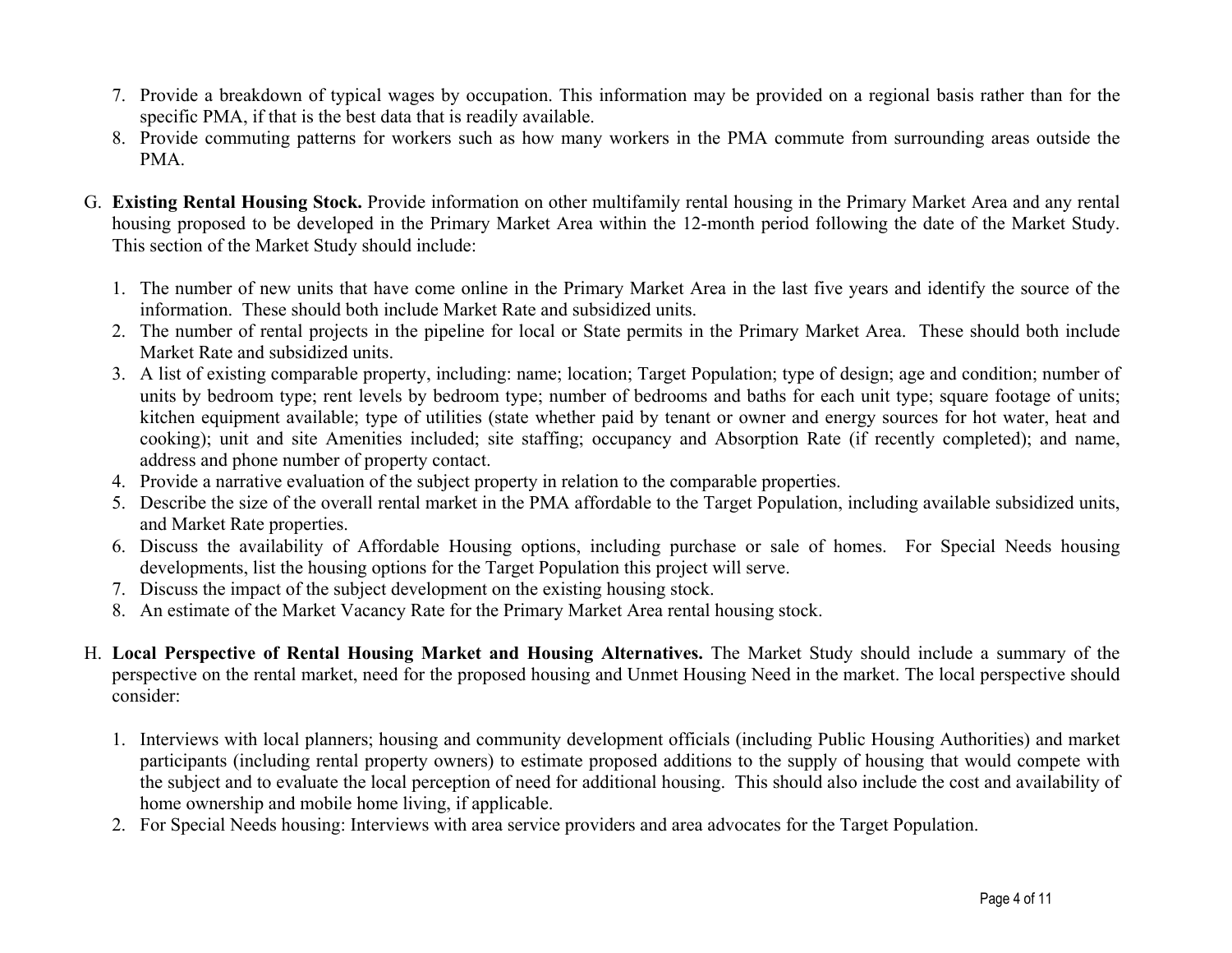- 7. Provide a breakdown of typical wages by occupation. This information may be provided on a regional basis rather than for the specific PMA, if that is the best data that is readily available.
- 8. Provide commuting patterns for workers such as how many workers in the PMA commute from surrounding areas outside the PMA.
- G. **Existing Rental Housing Stock.** Provide information on other multifamily rental housing in the Primary Market Area and any rental housing proposed to be developed in the Primary Market Area within the 12-month period following the date of the Market Study. This section of the Market Study should include:
	- 1. The number of new units that have come online in the Primary Market Area in the last five years and identify the source of the information. These should both include Market Rate and subsidized units.
	- 2. The number of rental projects in the pipeline for local or State permits in the Primary Market Area. These should both include Market Rate and subsidized units.
	- 3. A list of existing comparable property, including: name; location; Target Population; type of design; age and condition; number of units by bedroom type; rent levels by bedroom type; number of bedrooms and baths for each unit type; square footage of units; kitchen equipment available; type of utilities (state whether paid by tenant or owner and energy sources for hot water, heat and cooking); unit and site Amenities included; site staffing; occupancy and Absorption Rate (if recently completed); and name, address and phone number of property contact.
	- 4. Provide a narrative evaluation of the subject property in relation to the comparable properties.
	- 5. Describe the size of the overall rental market in the PMA affordable to the Target Population, including available subsidized units, and Market Rate properties.
	- 6. Discuss the availability of Affordable Housing options, including purchase or sale of homes. For Special Needs housing developments, list the housing options for the Target Population this project will serve.
	- 7. Discuss the impact of the subject development on the existing housing stock.
	- 8. An estimate of the Market Vacancy Rate for the Primary Market Area rental housing stock.
- H. **Local Perspective of Rental Housing Market and Housing Alternatives.** The Market Study should include a summary of the perspective on the rental market, need for the proposed housing and Unmet Housing Need in the market. The local perspective should consider:
	- 1. Interviews with local planners; housing and community development officials (including Public Housing Authorities) and market participants (including rental property owners) to estimate proposed additions to the supply of housing that would compete with the subject and to evaluate the local perception of need for additional housing. This should also include the cost and availability of home ownership and mobile home living, if applicable.
	- 2. For Special Needs housing: Interviews with area service providers and area advocates for the Target Population.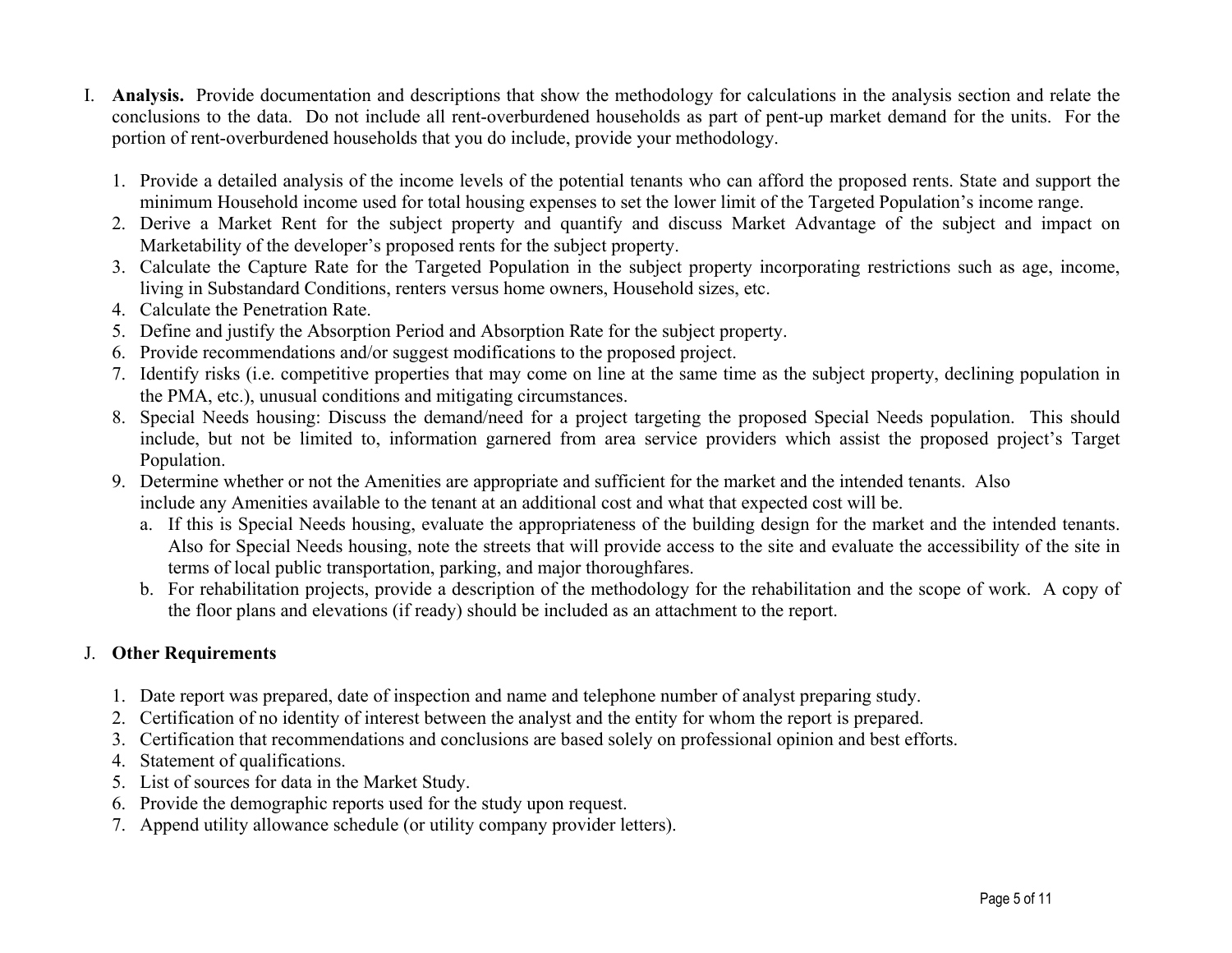- I. **Analysis.** Provide documentation and descriptions that show the methodology for calculations in the analysis section and relate the conclusions to the data. Do not include all rent-overburdened households as part of pent-up market demand for the units. For the portion of rent-overburdened households that you do include, provide your methodology.
	- 1. Provide a detailed analysis of the income levels of the potential tenants who can afford the proposed rents. State and support the minimum Household income used for total housing expenses to set the lower limit of the Targeted Population's income range.
	- 2. Derive a Market Rent for the subject property and quantify and discuss Market Advantage of the subject and impact on Marketability of the developer's proposed rents for the subject property.
	- 3. Calculate the Capture Rate for the Targeted Population in the subject property incorporating restrictions such as age, income, living in Substandard Conditions, renters versus home owners, Household sizes, etc.
	- 4. Calculate the Penetration Rate.
	- 5. Define and justify the Absorption Period and Absorption Rate for the subject property.
	- 6. Provide recommendations and/or suggest modifications to the proposed project.
	- 7. Identify risks (i.e. competitive properties that may come on line at the same time as the subject property, declining population in the PMA, etc.), unusual conditions and mitigating circumstances.
	- 8. Special Needs housing: Discuss the demand/need for a project targeting the proposed Special Needs population. This should include, but not be limited to, information garnered from area service providers which assist the proposed project's Target Population.
	- 9. Determine whether or not the Amenities are appropriate and sufficient for the market and the intended tenants. Also include any Amenities available to the tenant at an additional cost and what that expected cost will be.
		- a. If this is Special Needs housing, evaluate the appropriateness of the building design for the market and the intended tenants. Also for Special Needs housing, note the streets that will provide access to the site and evaluate the accessibility of the site in terms of local public transportation, parking, and major thoroughfares.
		- b. For rehabilitation projects, provide a description of the methodology for the rehabilitation and the scope of work. A copy of the floor plans and elevations (if ready) should be included as an attachment to the report.

## J. **Other Requirements**

- 1. Date report was prepared, date of inspection and name and telephone number of analyst preparing study.
- 2. Certification of no identity of interest between the analyst and the entity for whom the report is prepared.
- 3. Certification that recommendations and conclusions are based solely on professional opinion and best efforts.
- 4. Statement of qualifications.
- 5. List of sources for data in the Market Study.
- 6. Provide the demographic reports used for the study upon request.
- 7. Append utility allowance schedule (or utility company provider letters).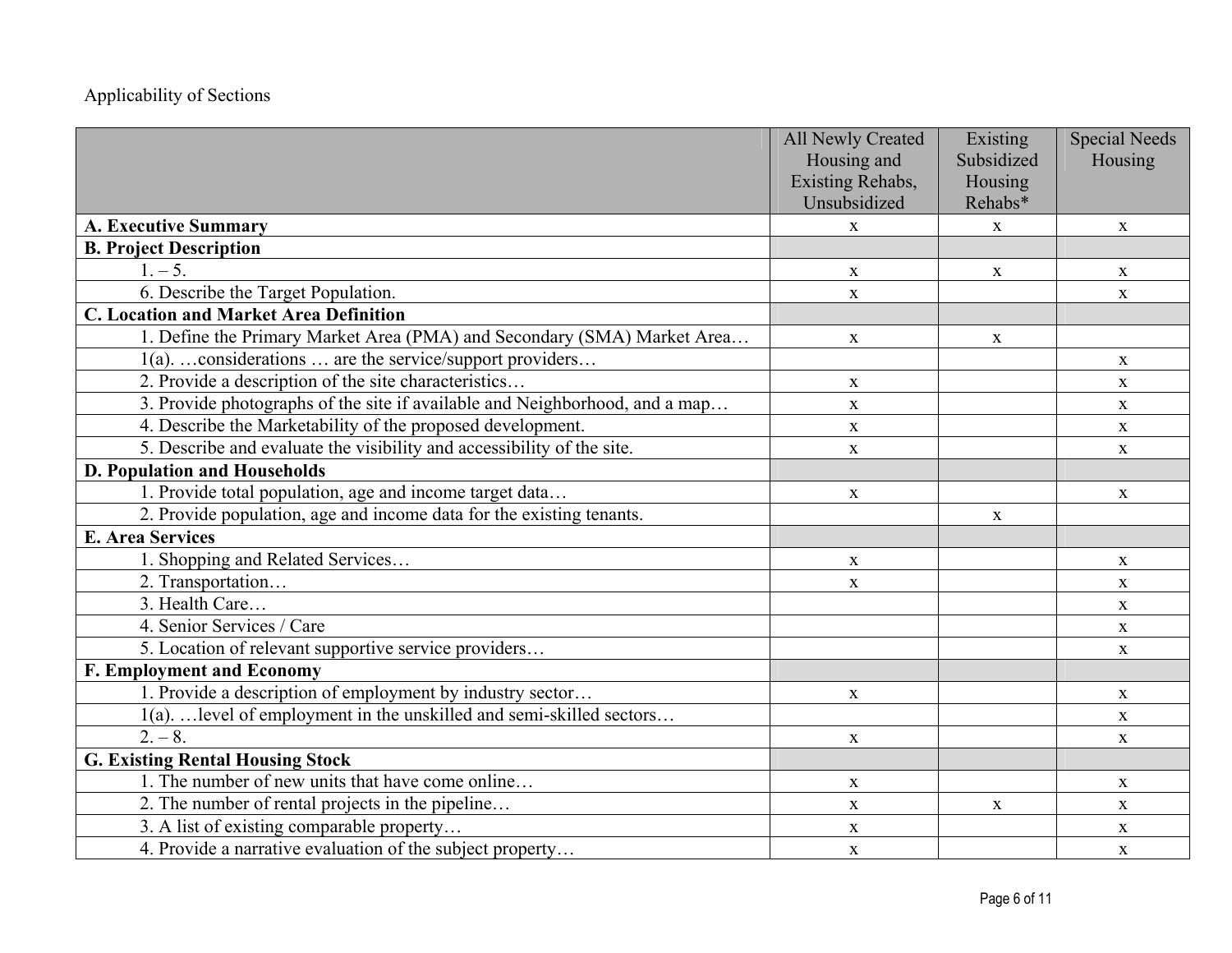## Applicability of Sections

|                                                                             | <b>All Newly Created</b> | Existing     | <b>Special Needs</b> |
|-----------------------------------------------------------------------------|--------------------------|--------------|----------------------|
|                                                                             | Housing and              | Subsidized   | Housing              |
|                                                                             | Existing Rehabs,         | Housing      |                      |
|                                                                             | Unsubsidized             | Rehabs*      |                      |
| <b>A. Executive Summary</b>                                                 | $\mathbf{X}$             | $\mathbf{X}$ | $\mathbf X$          |
| <b>B. Project Description</b>                                               |                          |              |                      |
| $1. - 5.$                                                                   | $\mathbf X$              | $\mathbf{X}$ | $\mathbf X$          |
| 6. Describe the Target Population.                                          | $\mathbf X$              |              | $\mathbf X$          |
| <b>C. Location and Market Area Definition</b>                               |                          |              |                      |
| 1. Define the Primary Market Area (PMA) and Secondary (SMA) Market Area     | $\mathbf X$              | $\mathbf{X}$ |                      |
| 1(a).  considerations  are the service/support providers                    |                          |              | $\mathbf X$          |
| 2. Provide a description of the site characteristics                        | $\mathbf X$              |              | $\mathbf X$          |
| 3. Provide photographs of the site if available and Neighborhood, and a map | $\mathbf{X}$             |              | $\mathbf X$          |
| 4. Describe the Marketability of the proposed development.                  | $\mathbf X$              |              | $\mathbf X$          |
| 5. Describe and evaluate the visibility and accessibility of the site.      | $\mathbf X$              |              | $\mathbf X$          |
| <b>D. Population and Households</b>                                         |                          |              |                      |
| 1. Provide total population, age and income target data                     | $\mathbf X$              |              | $\mathbf X$          |
| 2. Provide population, age and income data for the existing tenants.        |                          | $\mathbf{X}$ |                      |
| <b>E. Area Services</b>                                                     |                          |              |                      |
| 1. Shopping and Related Services                                            | $\mathbf X$              |              | X                    |
| 2. Transportation                                                           | $\mathbf X$              |              | X                    |
| 3. Health Care                                                              |                          |              | $\mathbf{X}$         |
| 4. Senior Services / Care                                                   |                          |              | $\mathbf{X}$         |
| 5. Location of relevant supportive service providers                        |                          |              | $\mathbf{X}$         |
| <b>F. Employment and Economy</b>                                            |                          |              |                      |
| 1. Provide a description of employment by industry sector                   | $\mathbf X$              |              | $\mathbf X$          |
| 1(a).  level of employment in the unskilled and semi-skilled sectors        |                          |              | $\mathbf X$          |
| $2. - 8.$                                                                   | $\mathbf X$              |              | $\mathbf X$          |
| <b>G. Existing Rental Housing Stock</b>                                     |                          |              |                      |
| 1. The number of new units that have come online                            | $\mathbf X$              |              | $\mathbf X$          |
| 2. The number of rental projects in the pipeline                            | $\mathbf X$              | $\mathbf{X}$ | $\mathbf X$          |
| 3. A list of existing comparable property                                   | $\mathbf{X}$             |              | $\mathbf X$          |
| 4. Provide a narrative evaluation of the subject property                   | $\mathbf{X}$             |              | $\mathbf X$          |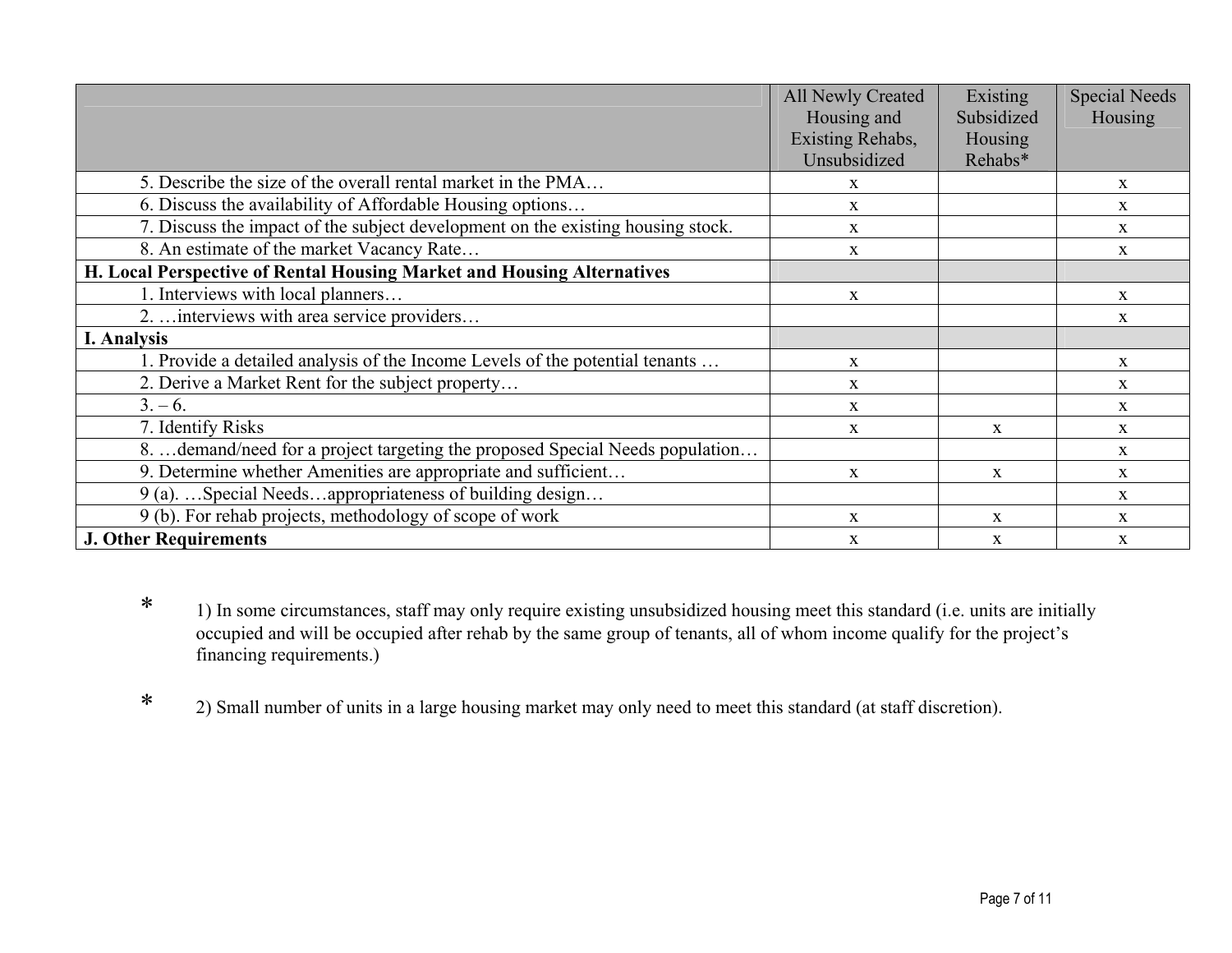|                                                                                 | <b>All Newly Created</b><br>Housing and | Existing<br>Subsidized | <b>Special Needs</b><br>Housing |
|---------------------------------------------------------------------------------|-----------------------------------------|------------------------|---------------------------------|
|                                                                                 | Existing Rehabs,                        | Housing                |                                 |
|                                                                                 | Unsubsidized                            | Rehabs*                |                                 |
| 5. Describe the size of the overall rental market in the PMA                    | X                                       |                        | X                               |
| 6. Discuss the availability of Affordable Housing options                       | $\mathbf{X}$                            |                        | X                               |
| 7. Discuss the impact of the subject development on the existing housing stock. | X                                       |                        | $\mathbf{X}$                    |
| 8. An estimate of the market Vacancy Rate                                       | X                                       |                        | $\mathbf{x}$                    |
| H. Local Perspective of Rental Housing Market and Housing Alternatives          |                                         |                        |                                 |
| 1. Interviews with local planners                                               | $\mathbf{X}$                            |                        | $\mathbf{X}$                    |
| 2.  interviews with area service providers                                      |                                         |                        | X                               |
| I. Analysis                                                                     |                                         |                        |                                 |
| 1. Provide a detailed analysis of the Income Levels of the potential tenants    | $\mathbf{X}$                            |                        | $\mathbf{x}$                    |
| 2. Derive a Market Rent for the subject property                                | X                                       |                        | $\mathbf{X}$                    |
| $3. - 6.$                                                                       | X                                       |                        | $\mathbf{X}$                    |
| 7. Identify Risks                                                               | X                                       | X                      | X                               |
| 8.  demand/need for a project targeting the proposed Special Needs population   |                                         |                        | $\mathbf{X}$                    |
| 9. Determine whether Amenities are appropriate and sufficient                   | X                                       | $\mathbf{x}$           | $\mathbf{x}$                    |
| 9 (a). Special Needsappropriateness of building design                          |                                         |                        | $\mathbf{X}$                    |
| 9 (b). For rehab projects, methodology of scope of work                         | X                                       | $\mathbf{x}$           | $\mathbf{X}$                    |
| <b>J. Other Requirements</b>                                                    | X                                       | X                      | $\mathbf{X}$                    |

- \* 1) In some circumstances, staff may only require existing unsubsidized housing meet this standard (i.e. units are initially occupied and will be occupied after rehab by the same group of tenants, all of whom income qualify for the project's financing requirements.)
- \*2) Small number of units in a large housing market may only need to meet this standard (at staff discretion).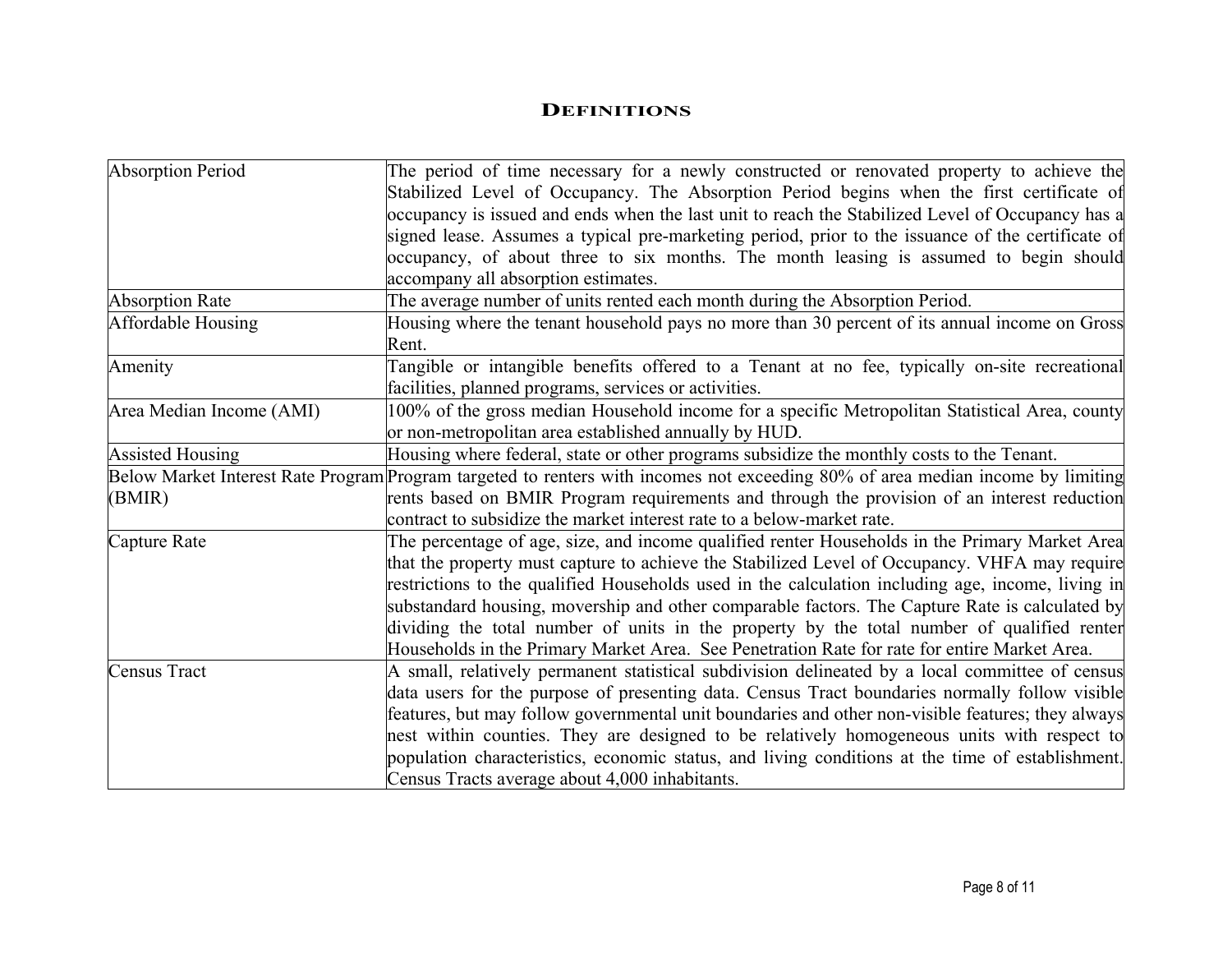#### **DEFINITIONS**

| <b>Absorption Period</b> | The period of time necessary for a newly constructed or renovated property to achieve the                                       |
|--------------------------|---------------------------------------------------------------------------------------------------------------------------------|
|                          | Stabilized Level of Occupancy. The Absorption Period begins when the first certificate of                                       |
|                          | occupancy is issued and ends when the last unit to reach the Stabilized Level of Occupancy has a                                |
|                          | signed lease. Assumes a typical pre-marketing period, prior to the issuance of the certificate of                               |
|                          | occupancy, of about three to six months. The month leasing is assumed to begin should                                           |
|                          | accompany all absorption estimates.                                                                                             |
| <b>Absorption Rate</b>   | The average number of units rented each month during the Absorption Period.                                                     |
| Affordable Housing       | Housing where the tenant household pays no more than 30 percent of its annual income on Gross                                   |
|                          | Rent.                                                                                                                           |
| Amenity                  | Tangible or intangible benefits offered to a Tenant at no fee, typically on-site recreational                                   |
|                          | facilities, planned programs, services or activities.                                                                           |
| Area Median Income (AMI) | 100% of the gross median Household income for a specific Metropolitan Statistical Area, county                                  |
|                          | or non-metropolitan area established annually by HUD.                                                                           |
| <b>Assisted Housing</b>  | Housing where federal, state or other programs subsidize the monthly costs to the Tenant.                                       |
|                          | Below Market Interest Rate Program Program targeted to renters with incomes not exceeding 80% of area median income by limiting |
| (BMIR)                   | rents based on BMIR Program requirements and through the provision of an interest reduction                                     |
|                          | contract to subsidize the market interest rate to a below-market rate.                                                          |
| Capture Rate             | The percentage of age, size, and income qualified renter Households in the Primary Market Area                                  |
|                          | that the property must capture to achieve the Stabilized Level of Occupancy. VHFA may require                                   |
|                          | restrictions to the qualified Households used in the calculation including age, income, living in                               |
|                          | substandard housing, movership and other comparable factors. The Capture Rate is calculated by                                  |
|                          | dividing the total number of units in the property by the total number of qualified renter                                      |
|                          | Households in the Primary Market Area. See Penetration Rate for rate for entire Market Area.                                    |
| <b>Census Tract</b>      | A small, relatively permanent statistical subdivision delineated by a local committee of census                                 |
|                          | data users for the purpose of presenting data. Census Tract boundaries normally follow visible                                  |
|                          | features, but may follow governmental unit boundaries and other non-visible features; they always                               |
|                          | nest within counties. They are designed to be relatively homogeneous units with respect to                                      |
|                          | population characteristics, economic status, and living conditions at the time of establishment.                                |
|                          | Census Tracts average about 4,000 inhabitants.                                                                                  |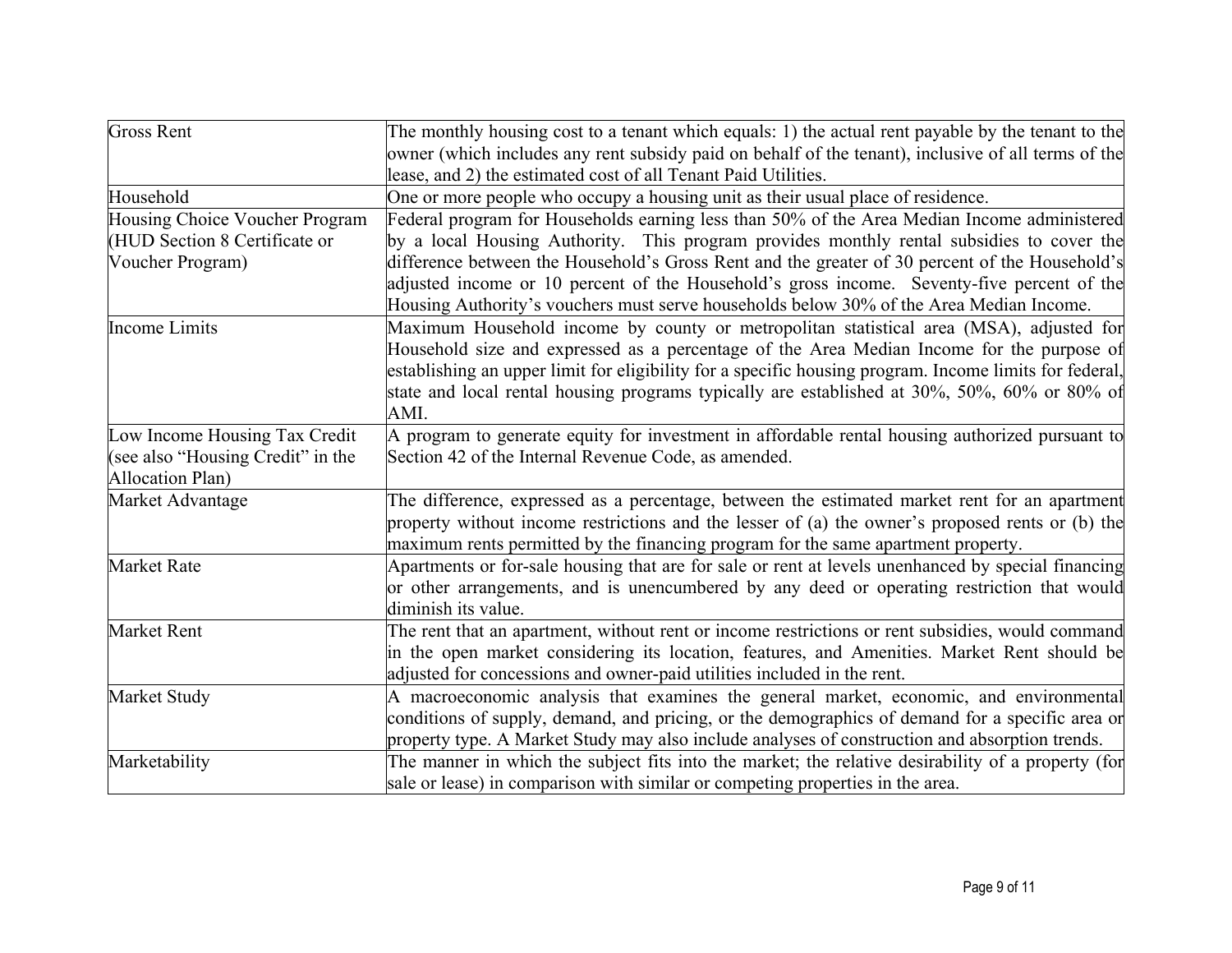| <b>Gross Rent</b>                 | The monthly housing cost to a tenant which equals: 1) the actual rent payable by the tenant to the     |
|-----------------------------------|--------------------------------------------------------------------------------------------------------|
|                                   | owner (which includes any rent subsidy paid on behalf of the tenant), inclusive of all terms of the    |
|                                   | lease, and 2) the estimated cost of all Tenant Paid Utilities.                                         |
| Household                         | One or more people who occupy a housing unit as their usual place of residence.                        |
| Housing Choice Voucher Program    | Federal program for Households earning less than 50% of the Area Median Income administered            |
| (HUD Section 8 Certificate or     | by a local Housing Authority. This program provides monthly rental subsidies to cover the              |
| Voucher Program)                  | difference between the Household's Gross Rent and the greater of 30 percent of the Household's         |
|                                   | adjusted income or 10 percent of the Household's gross income. Seventy-five percent of the             |
|                                   | Housing Authority's vouchers must serve households below 30% of the Area Median Income.                |
| <b>Income Limits</b>              | Maximum Household income by county or metropolitan statistical area (MSA), adjusted for                |
|                                   | Household size and expressed as a percentage of the Area Median Income for the purpose of              |
|                                   | establishing an upper limit for eligibility for a specific housing program. Income limits for federal, |
|                                   | state and local rental housing programs typically are established at 30%, 50%, 60% or 80% of           |
|                                   | AMI.                                                                                                   |
| Low Income Housing Tax Credit     | A program to generate equity for investment in affordable rental housing authorized pursuant to        |
| (see also "Housing Credit" in the | Section 42 of the Internal Revenue Code, as amended.                                                   |
| Allocation Plan)                  |                                                                                                        |
| Market Advantage                  | The difference, expressed as a percentage, between the estimated market rent for an apartment          |
|                                   | property without income restrictions and the lesser of (a) the owner's proposed rents or (b) the       |
|                                   | maximum rents permitted by the financing program for the same apartment property.                      |
| <b>Market Rate</b>                | Apartments or for-sale housing that are for sale or rent at levels unenhanced by special financing     |
|                                   | or other arrangements, and is unencumbered by any deed or operating restriction that would             |
|                                   | diminish its value.                                                                                    |
| Market Rent                       | The rent that an apartment, without rent or income restrictions or rent subsidies, would command       |
|                                   | in the open market considering its location, features, and Amenities. Market Rent should be            |
|                                   | adjusted for concessions and owner-paid utilities included in the rent.                                |
| Market Study                      | A macroeconomic analysis that examines the general market, economic, and environmental                 |
|                                   | conditions of supply, demand, and pricing, or the demographics of demand for a specific area or        |
|                                   | property type. A Market Study may also include analyses of construction and absorption trends.         |
| Marketability                     | The manner in which the subject fits into the market; the relative desirability of a property (for     |
|                                   | sale or lease) in comparison with similar or competing properties in the area.                         |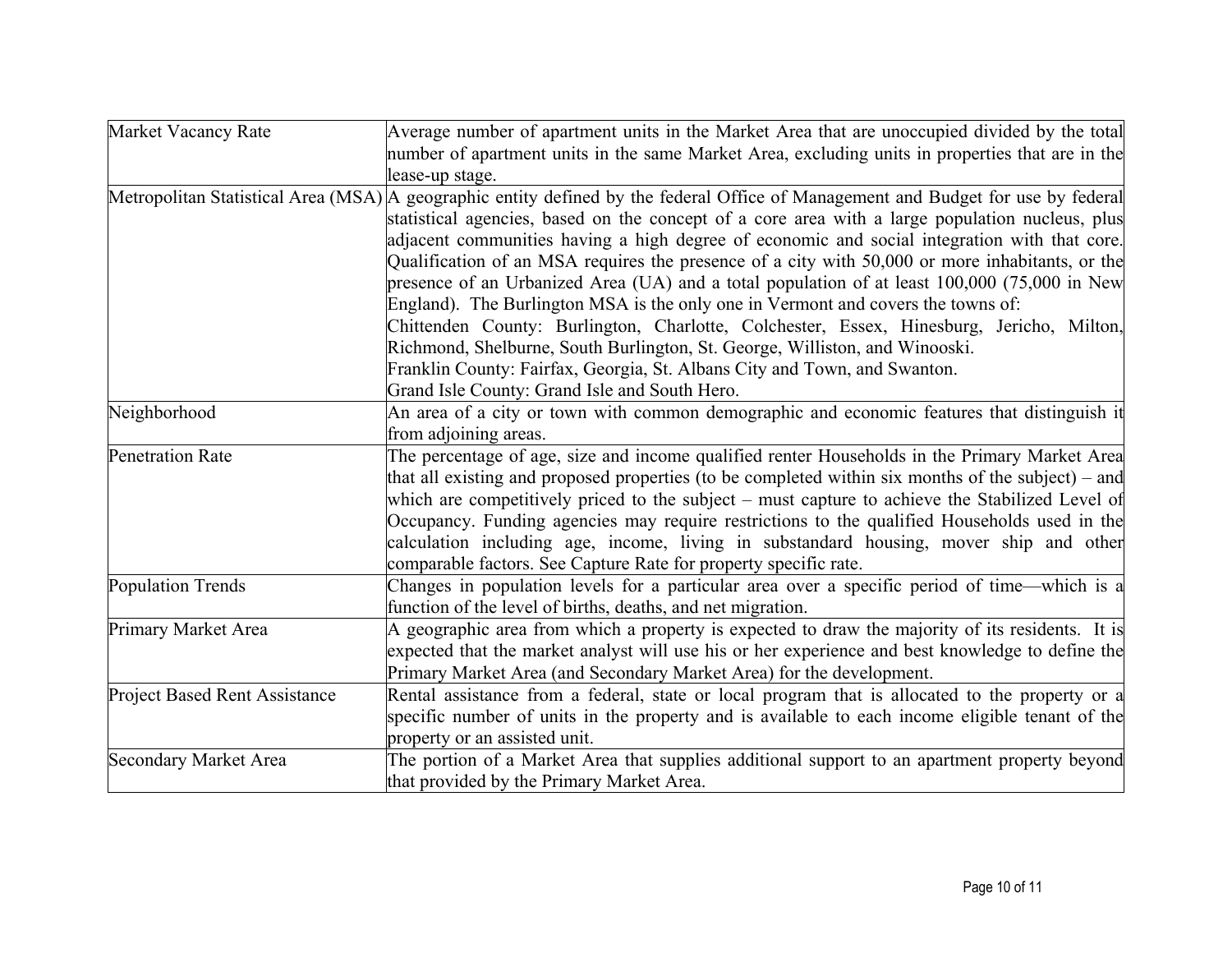| Market Vacancy Rate                  | Average number of apartment units in the Market Area that are unoccupied divided by the total                                     |
|--------------------------------------|-----------------------------------------------------------------------------------------------------------------------------------|
|                                      | number of apartment units in the same Market Area, excluding units in properties that are in the                                  |
|                                      | lease-up stage.                                                                                                                   |
|                                      | Metropolitan Statistical Area (MSA) A geographic entity defined by the federal Office of Management and Budget for use by federal |
|                                      | statistical agencies, based on the concept of a core area with a large population nucleus, plus                                   |
|                                      | adjacent communities having a high degree of economic and social integration with that core.                                      |
|                                      | Qualification of an MSA requires the presence of a city with 50,000 or more inhabitants, or the                                   |
|                                      | presence of an Urbanized Area (UA) and a total population of at least 100,000 (75,000 in New                                      |
|                                      | England). The Burlington MSA is the only one in Vermont and covers the towns of:                                                  |
|                                      | Chittenden County: Burlington, Charlotte, Colchester, Essex, Hinesburg, Jericho, Milton,                                          |
|                                      | Richmond, Shelburne, South Burlington, St. George, Williston, and Winooski.                                                       |
|                                      | Franklin County: Fairfax, Georgia, St. Albans City and Town, and Swanton.                                                         |
|                                      | Grand Isle County: Grand Isle and South Hero.                                                                                     |
| Neighborhood                         | An area of a city or town with common demographic and economic features that distinguish it                                       |
|                                      | from adjoining areas.                                                                                                             |
| <b>Penetration Rate</b>              | The percentage of age, size and income qualified renter Households in the Primary Market Area                                     |
|                                      | that all existing and proposed properties (to be completed within six months of the subject) – and                                |
|                                      | which are competitively priced to the subject – must capture to achieve the Stabilized Level of                                   |
|                                      | Occupancy. Funding agencies may require restrictions to the qualified Households used in the                                      |
|                                      | calculation including age, income, living in substandard housing, mover ship and other                                            |
|                                      | comparable factors. See Capture Rate for property specific rate.                                                                  |
| <b>Population Trends</b>             | Changes in population levels for a particular area over a specific period of time—which is a                                      |
|                                      | function of the level of births, deaths, and net migration.                                                                       |
| Primary Market Area                  | A geographic area from which a property is expected to draw the majority of its residents. It is                                  |
|                                      | expected that the market analyst will use his or her experience and best knowledge to define the                                  |
|                                      | Primary Market Area (and Secondary Market Area) for the development.                                                              |
| <b>Project Based Rent Assistance</b> | Rental assistance from a federal, state or local program that is allocated to the property or a                                   |
|                                      | specific number of units in the property and is available to each income eligible tenant of the                                   |
|                                      | property or an assisted unit.                                                                                                     |
| <b>Secondary Market Area</b>         | The portion of a Market Area that supplies additional support to an apartment property beyond                                     |
|                                      | that provided by the Primary Market Area.                                                                                         |